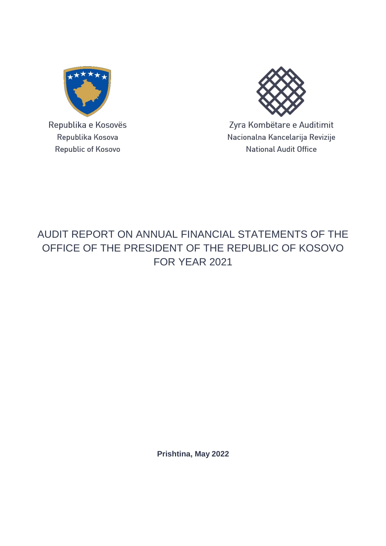

Republika e Kosovës Republika Kosova Republic of Kosovo



Zyra Kombëtare e Auditimit Nacionalna Kancelarija Revizije **National Audit Office** 

## AUDIT REPORT ON ANNUAL FINANCIAL STATEMENTS OF THE OFFICE OF THE PRESIDENT OF THE REPUBLIC OF KOSOVO FOR YEAR 2021

**Prishtina, May 2022**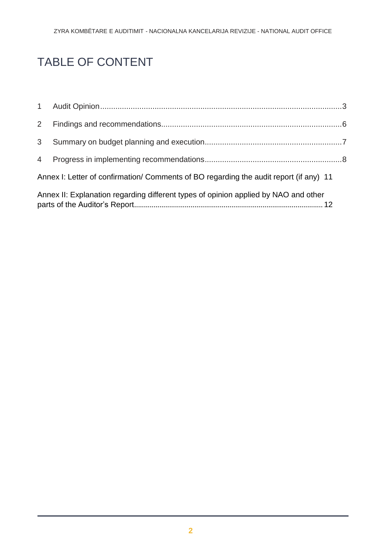# TABLE OF CONTENT

| 3 <sup>1</sup> |                                                                                        |  |
|----------------|----------------------------------------------------------------------------------------|--|
|                |                                                                                        |  |
|                | Annex I: Letter of confirmation/ Comments of BO regarding the audit report (if any) 11 |  |
|                | Annex II: Explanation regarding different types of opinion applied by NAO and other    |  |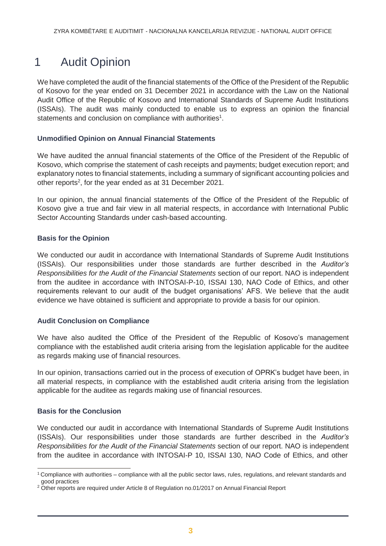### <span id="page-2-0"></span>1 Audit Opinion

We have completed the audit of the financial statements of the Office of the President of the Republic of Kosovo for the year ended on 31 December 2021 in accordance with the Law on the National Audit Office of the Republic of Kosovo and International Standards of Supreme Audit Institutions (ISSAIs). The audit was mainly conducted to enable us to express an opinion the financial statements and conclusion on compliance with authorities<sup>1</sup>.

#### **Unmodified Opinion on Annual Financial Statements**

We have audited the annual financial statements of the Office of the President of the Republic of Kosovo, which comprise the statement of cash receipts and payments; budget execution report; and explanatory notes to financial statements, including a summary of significant accounting policies and other reports<sup>2</sup>, for the year ended as at 31 December 2021.

In our opinion, the annual financial statements of the Office of the President of the Republic of Kosovo give a true and fair view in all material respects, in accordance with International Public Sector Accounting Standards under cash-based accounting.

#### **Basis for the Opinion**

We conducted our audit in accordance with International Standards of Supreme Audit Institutions (ISSAIs). Our responsibilities under those standards are further described in the *Auditor's Responsibilities for the Audit of the Financial Statements* section of our report. NAO is independent from the auditee in accordance with INTOSAI-P-10, ISSAI 130, NAO Code of Ethics, and other requirements relevant to our audit of the budget organisations' AFS. We believe that the audit evidence we have obtained is sufficient and appropriate to provide a basis for our opinion.

#### **Audit Conclusion on Compliance**

We have also audited the Office of the President of the Republic of Kosovo's management compliance with the established audit criteria arising from the legislation applicable for the auditee as regards making use of financial resources.

In our opinion, transactions carried out in the process of execution of OPRK's budget have been, in all material respects, in compliance with the established audit criteria arising from the legislation applicable for the auditee as regards making use of financial resources.

#### **Basis for the Conclusion**

We conducted our audit in accordance with International Standards of Supreme Audit Institutions (ISSAIs). Our responsibilities under those standards are further described in the *Auditor's Responsibilities for the Audit of the Financial Statements* section of our report. NAO is independent from the auditee in accordance with INTOSAI-P 10, ISSAI 130, NAO Code of Ethics, and other

<sup>&</sup>lt;sup>1</sup> Compliance with authorities – compliance with all the public sector laws, rules, regulations, and relevant standards and good practices

<sup>&</sup>lt;sup>2</sup> Other reports are required under Article 8 of Regulation no.01/2017 on Annual Financial Report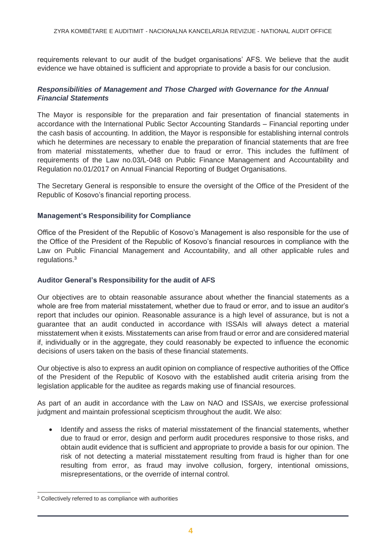requirements relevant to our audit of the budget organisations' AFS. We believe that the audit evidence we have obtained is sufficient and appropriate to provide a basis for our conclusion.

#### *Responsibilities of Management and Those Charged with Governance for the Annual Financial Statements*

The Mayor is responsible for the preparation and fair presentation of financial statements in accordance with the International Public Sector Accounting Standards – Financial reporting under the cash basis of accounting. In addition, the Mayor is responsible for establishing internal controls which he determines are necessary to enable the preparation of financial statements that are free from material misstatements, whether due to fraud or error. This includes the fulfilment of requirements of the Law no.03/L-048 on Public Finance Management and Accountability and Regulation no.01/2017 on Annual Financial Reporting of Budget Organisations.

The Secretary General is responsible to ensure the oversight of the Office of the President of the Republic of Kosovo's financial reporting process.

#### **Management's Responsibility for Compliance**

Office of the President of the Republic of Kosovo's Management is also responsible for the use of the Office of the President of the Republic of Kosovo's financial resources in compliance with the Law on Public Financial Management and Accountability, and all other applicable rules and regulations.<sup>3</sup>

#### **Auditor General's Responsibility for the audit of AFS**

Our objectives are to obtain reasonable assurance about whether the financial statements as a whole are free from material misstatement, whether due to fraud or error, and to issue an auditor's report that includes our opinion. Reasonable assurance is a high level of assurance, but is not a guarantee that an audit conducted in accordance with ISSAIs will always detect a material misstatement when it exists. Misstatements can arise from fraud or error and are considered material if, individually or in the aggregate, they could reasonably be expected to influence the economic decisions of users taken on the basis of these financial statements.

Our objective is also to express an audit opinion on compliance of respective authorities of the Office of the President of the Republic of Kosovo with the established audit criteria arising from the legislation applicable for the auditee as regards making use of financial resources.

As part of an audit in accordance with the Law on NAO and ISSAIs, we exercise professional judgment and maintain professional scepticism throughout the audit. We also:

• Identify and assess the risks of material misstatement of the financial statements, whether due to fraud or error, design and perform audit procedures responsive to those risks, and obtain audit evidence that is sufficient and appropriate to provide a basis for our opinion. The risk of not detecting a material misstatement resulting from fraud is higher than for one resulting from error, as fraud may involve collusion, forgery, intentional omissions, misrepresentations, or the override of internal control.

<sup>&</sup>lt;sup>3</sup> Collectively referred to as compliance with authorities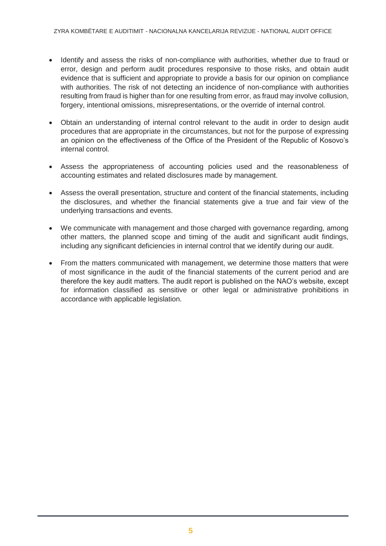- Identify and assess the risks of non-compliance with authorities, whether due to fraud or error, design and perform audit procedures responsive to those risks, and obtain audit evidence that is sufficient and appropriate to provide a basis for our opinion on compliance with authorities. The risk of not detecting an incidence of non-compliance with authorities resulting from fraud is higher than for one resulting from error, as fraud may involve collusion, forgery, intentional omissions, misrepresentations, or the override of internal control.
- Obtain an understanding of internal control relevant to the audit in order to design audit procedures that are appropriate in the circumstances, but not for the purpose of expressing an opinion on the effectiveness of the Office of the President of the Republic of Kosovo's internal control.
- Assess the appropriateness of accounting policies used and the reasonableness of accounting estimates and related disclosures made by management.
- Assess the overall presentation, structure and content of the financial statements, including the disclosures, and whether the financial statements give a true and fair view of the underlying transactions and events.
- We communicate with management and those charged with governance regarding, among other matters, the planned scope and timing of the audit and significant audit findings, including any significant deficiencies in internal control that we identify during our audit.
- From the matters communicated with management, we determine those matters that were of most significance in the audit of the financial statements of the current period and are therefore the key audit matters. The audit report is published on the NAO's website, except for information classified as sensitive or other legal or administrative prohibitions in accordance with applicable legislation.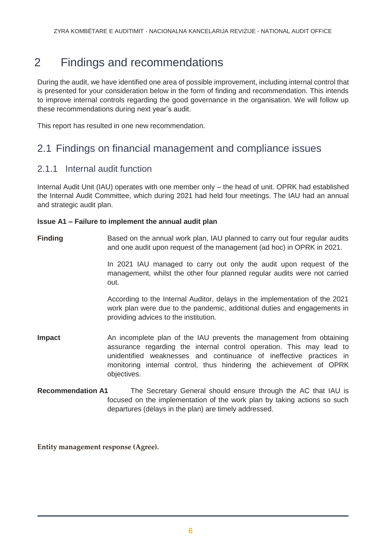### <span id="page-5-0"></span>2 Findings and recommendations

During the audit, we have identified one area of possible improvement, including internal control that is presented for your consideration below in the form of finding and recommendation. This intends to improve internal controls regarding the good governance in the organisation. We will follow up these recommendations during next year's audit.

This report has resulted in one new recommendation.

### 2.1 Findings on financial management and compliance issues

#### 2.1.1 Internal audit function

Internal Audit Unit (IAU) operates with one member only – the head of unit. OPRK had established the Internal Audit Committee, which during 2021 had held four meetings. The IAU had an annual and strategic audit plan.

#### **Issue A1 – Failure to implement the annual audit plan**

**Finding** Based on the annual work plan, IAU planned to carry out four regular audits and one audit upon request of the management (ad hoc) in OPRK in 2021.

> In 2021 IAU managed to carry out only the audit upon request of the management, whilst the other four planned regular audits were not carried out.

> According to the Internal Auditor, delays in the implementation of the 2021 work plan were due to the pandemic, additional duties and engagements in providing advices to the institution.

- **Impact** An incomplete plan of the IAU prevents the management from obtaining assurance regarding the internal control operation. This may lead to unidentified weaknesses and continuance of ineffective practices in monitoring internal control, thus hindering the achievement of OPRK objectives.
- **Recommendation A1** The Secretary General should ensure through the AC that IAU is focused on the implementation of the work plan by taking actions so such departures (delays in the plan) are timely addressed.

**Entity management response (Agree).**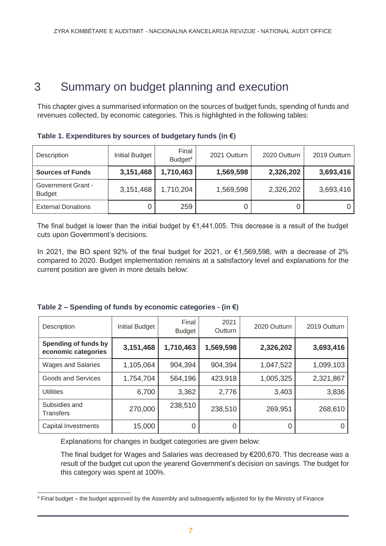### <span id="page-6-0"></span>3 Summary on budget planning and execution

This chapter gives a summarised information on the sources of budget funds, spending of funds and revenues collected, by economic categories. This is highlighted in the following tables:

| Description                                | <b>Initial Budget</b> | Final<br>Budget <sup>4</sup> | 2021 Outturn | 2020 Outturn | 2019 Outturn |
|--------------------------------------------|-----------------------|------------------------------|--------------|--------------|--------------|
| <b>Sources of Funds</b>                    | 3,151,468             | 1,710,463                    | 1,569,598    | 2,326,202    | 3,693,416    |
| <b>Government Grant -</b><br><b>Budget</b> | 3,151,468             | 1,710,204                    | 1,569,598    | 2,326,202    | 3,693,416    |
| <b>External Donations</b>                  | 0                     | 259                          |              | U            |              |

**Table 1. Expenditures by sources of budgetary funds (in €)**

The final budget is lower than the initial budget by  $\epsilon$ 1,441,005. This decrease is a result of the budget cuts upon Government's decisions.

In 2021, the BO spent 92% of the final budget for 2021, or €1,569,598, with a decrease of 2% compared to 2020. Budget implementation remains at a satisfactory level and explanations for the current position are given in more details below:

| Description                                 | <b>Initial Budget</b> | Final<br><b>Budget</b> | 2021<br><b>Outturn</b> | 2020 Outturn | 2019 Outturn |
|---------------------------------------------|-----------------------|------------------------|------------------------|--------------|--------------|
| Spending of funds by<br>economic categories | 3,151,468             | 1,710,463              | 1,569,598              | 2,326,202    | 3,693,416    |
| <b>Wages and Salaries</b>                   | 1,105,064             | 904,394                | 904,394                | 1,047,522    | 1,099,103    |
| Goods and Services                          | 1,754,704             | 564,196                | 423,918                | 1,005,325    | 2,321,867    |
| <b>Utilities</b>                            | 6,700                 | 3,362                  | 2,776                  | 3,403        | 3,836        |
| Subsidies and<br>Transfers                  | 270,000               | 238,510                | 238,510                | 269,951      | 268,610      |
| <b>Capital Investments</b>                  | 15,000                |                        |                        |              |              |

| Table 2 – Spending of funds by economic categories - (in $\epsilon$ ) |  |  |  |
|-----------------------------------------------------------------------|--|--|--|
|-----------------------------------------------------------------------|--|--|--|

Explanations for changes in budget categories are given below:

The final budget for Wages and Salaries was decreased by €200,670. This decrease was a result of the budget cut upon the yearend Government's decision on savings. The budget for this category was spent at 100%.

<sup>4</sup> Final budget – the budget approved by the Assembly and subsequently adjusted for by the Ministry of Finance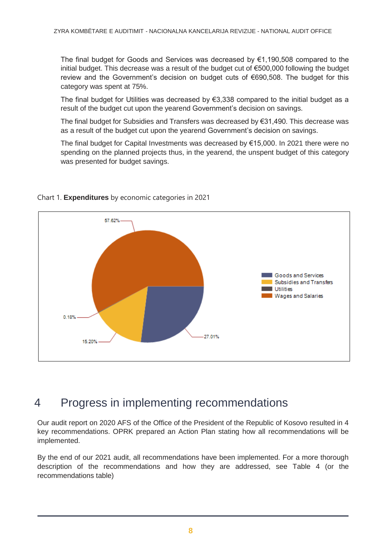The final budget for Goods and Services was decreased by €1,190,508 compared to the initial budget. This decrease was a result of the budget cut of €500,000 following the budget review and the Government's decision on budget cuts of €690,508. The budget for this category was spent at 75%.

The final budget for Utilities was decreased by  $\epsilon$ 3,338 compared to the initial budget as a result of the budget cut upon the yearend Government's decision on savings.

The final budget for Subsidies and Transfers was decreased by  $\epsilon$ 31,490. This decrease was as a result of the budget cut upon the yearend Government's decision on savings.

The final budget for Capital Investments was decreased by €15,000. In 2021 there were no spending on the planned projects thus, in the yearend, the unspent budget of this category was presented for budget savings.



#### Chart 1. **Expenditures** by economic categories in 2021

### <span id="page-7-0"></span>4 Progress in implementing recommendations

Our audit report on 2020 AFS of the Office of the President of the Republic of Kosovo resulted in 4 key recommendations. OPRK prepared an Action Plan stating how all recommendations will be implemented.

By the end of our 2021 audit, all recommendations have been implemented. For a more thorough description of the recommendations and how they are addressed, see Table 4 (or the recommendations table)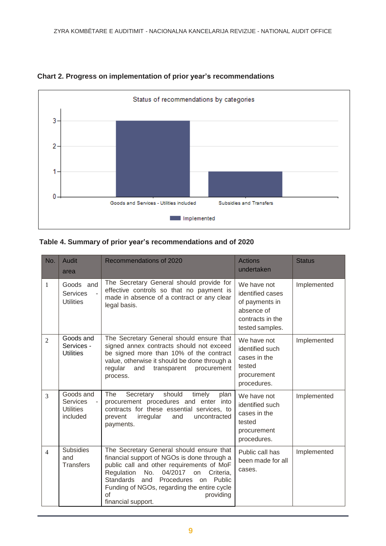

#### **Chart 2. Progress on implementation of prior year's recommendations**

#### **Table 4. Summary of prior year's recommendations and of 2020**

| No.            | Audit<br>area                                                | Recommendations of 2020                                                                                                                                                                                                                                                                                                               | <b>Actions</b><br>undertaken                                                                           | <b>Status</b> |
|----------------|--------------------------------------------------------------|---------------------------------------------------------------------------------------------------------------------------------------------------------------------------------------------------------------------------------------------------------------------------------------------------------------------------------------|--------------------------------------------------------------------------------------------------------|---------------|
| 1              | Goods and<br><b>Services</b><br><b>Utilities</b>             | The Secretary General should provide for<br>effective controls so that no payment is<br>made in absence of a contract or any clear<br>legal basis.                                                                                                                                                                                    | We have not<br>identified cases<br>of payments in<br>absence of<br>contracts in the<br>tested samples. | Implemented   |
| $\overline{2}$ | Goods and<br>Services -<br><b>Utilities</b>                  | The Secretary General should ensure that<br>signed annex contracts should not exceed<br>be signed more than 10% of the contract<br>value, otherwise it should be done through a<br>procurement<br>regular<br>and<br>transparent<br>process.                                                                                           | We have not<br>identified such<br>cases in the<br>tested<br>procurement<br>procedures.                 | Implemented   |
| 3              | Goods and<br><b>Services</b><br><b>Utilities</b><br>included | should<br>The<br>Secretary<br>timely<br>plan<br>procurement procedures and enter into<br>contracts for these essential services, to<br>irregular<br>prevent<br>and<br>uncontracted<br>payments.                                                                                                                                       | We have not<br>identified such<br>cases in the<br>tested<br>procurement<br>procedures.                 | Implemented   |
| $\overline{4}$ | <b>Subsidies</b><br>and<br><b>Transfers</b>                  | The Secretary General should ensure that<br>financial support of NGOs is done through a<br>public call and other requirements of MoF<br>04/2017<br>Regulation<br>No.<br>Criteria,<br>on<br><b>Standards</b><br>and<br>Procedures on<br>Public<br>Funding of NGOs, regarding the entire cycle<br>of<br>providing<br>financial support. | Public call has<br>been made for all<br>cases.                                                         | Implemented   |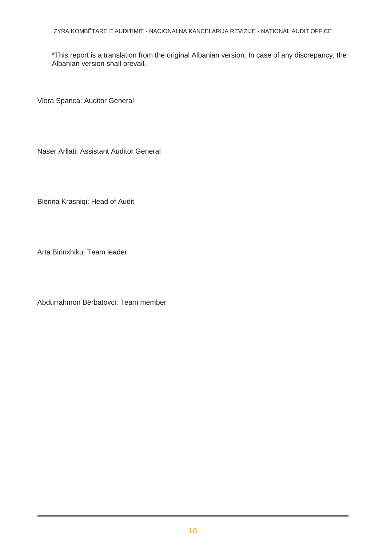ZYRA KOMBËTARE E AUDITIMIT - NACIONALNA KANCELARIJA REVIZIJE - NATIONAL AUDIT OFFICE

\*This report is a translation from the original Albanian version. In case of any discrepancy, the Albanian version shall prevail.

Vlora Spanca: Auditor General

Naser Arllati: Assistant Auditor General

Blerina Krasniqi: Head of Audit

Arta Birinxhiku: Team leader

Abdurrahmon Bërbatovci: Team member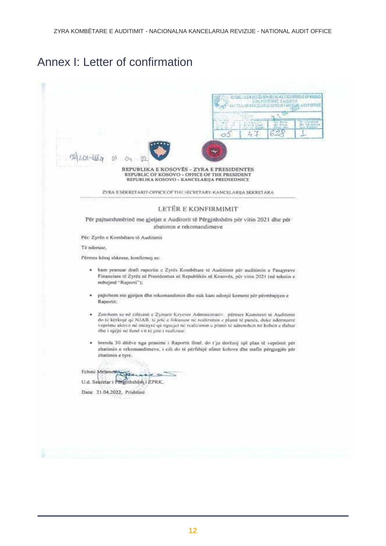## Annex I: Letter of confirmation

| HERBELLING ROSS REPLACING ROSSELFERIELD OF ROSSED<br><b>SPAYORS TABE EALTHERN</b><br>ALAIST OFFICE<br>法思路 化共汽式冷却法 医外空房 计图形名<br>produce<br>de Clement<br>Br. Prof.<br>a ar i Mod<br>$4 +$<br>O5                                                                                                                                        |
|---------------------------------------------------------------------------------------------------------------------------------------------------------------------------------------------------------------------------------------------------------------------------------------------------------------------------------------|
| REPUBLIKA E KOSOVËS - ZYRA E PRESIDENTES<br>REPUBLIC OF KOSOVO - OFFICE OF THE PRESIDENT<br>REPUBLIKA KOSOVO - KANCELARIJA PREDSEDNICE                                                                                                                                                                                                |
| ZYRA E SEKRETARIT-OFFICE OF THE SECRETARY-KANCELARIJA SEKRETARA                                                                                                                                                                                                                                                                       |
| LETËR E KONFIRMIMIT                                                                                                                                                                                                                                                                                                                   |
| Për pajtueshmërinë me gjetjet e Auditorit të Përgjithshëm për vitin 2021 dhe për<br>zbatimin e rekomandimeve                                                                                                                                                                                                                          |
| Për: Zyrën e Kombëtare të Auditimit                                                                                                                                                                                                                                                                                                   |
| Té nderuar,                                                                                                                                                                                                                                                                                                                           |
| Pērmes kēsaj shkrese, konfirmoj se:                                                                                                                                                                                                                                                                                                   |
| * kam pranuar draft raportin e Zyrës Kombëtare të Auditimit për auditimin e Pasqyrave<br>Financiare të Zyrës së Presidenttes së Republikës së Kosovës, për vitin 2021 (në tekstin e<br>mětejmě "Raporti");                                                                                                                            |
| pajtohem me gjetjen dhe rekomandimin dhe nuk kam ndonjë koment për përmbajtjen e<br>۰<br>Raportit:                                                                                                                                                                                                                                    |
| Zotobem se në cilësinë e Zyrtarit Kryesor Administrativ. përmes Komitetti të Auditimit<br>۰<br>do të kërkojë që NJAB, të jetë e fokusuar në realizimin e planit të punës, duke ndërmarrë<br>veprime aktive në mënyrë që ngecjet në realizimin e planit të adresohen në kohën e duhur<br>dhe i njëjti në fund vit të jetë i realizuar. |
| brenda 30 ditëve nga pranimi i Raportit final, do t'ju dorëzoj një plan të veprimit për<br>zbatimin e rekomandimeve, i cili do të përfshijë afatet kohore dhe stafin përgjegjës për<br>zbatimin e tyre.                                                                                                                               |
| Fehmi Mehmetra                                                                                                                                                                                                                                                                                                                        |
| U.d. Sekretar i Pergjithshem i ZPRK.<br>Data: 21.04.2022, Prishtinë                                                                                                                                                                                                                                                                   |
|                                                                                                                                                                                                                                                                                                                                       |
|                                                                                                                                                                                                                                                                                                                                       |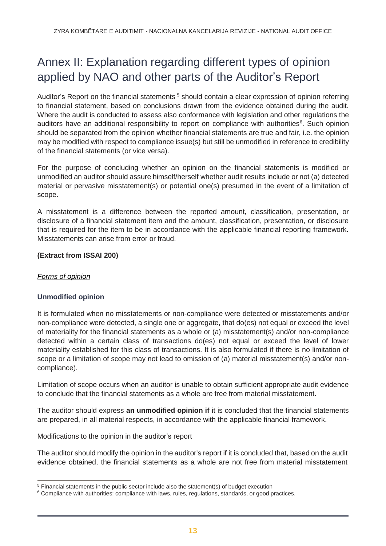## <span id="page-12-0"></span>Annex II: Explanation regarding different types of opinion applied by NAO and other parts of the Auditor's Report

Auditor's Report on the financial statements<sup>5</sup> should contain a clear expression of opinion referring to financial statement, based on conclusions drawn from the evidence obtained during the audit. Where the audit is conducted to assess also conformance with legislation and other regulations the auditors have an additional responsibility to report on compliance with authorities<sup>6</sup>. Such opinion should be separated from the opinion whether financial statements are true and fair, i.e. the opinion may be modified with respect to compliance issue(s) but still be unmodified in reference to credibility of the financial statements (or vice versa).

For the purpose of concluding whether an opinion on the financial statements is modified or unmodified an auditor should assure himself/herself whether audit results include or not (a) detected material or pervasive misstatement(s) or potential one(s) presumed in the event of a limitation of scope.

A misstatement is a difference between the reported amount, classification, presentation, or disclosure of a financial statement item and the amount, classification, presentation, or disclosure that is required for the item to be in accordance with the applicable financial reporting framework. Misstatements can arise from error or fraud.

#### **(Extract from ISSAI 200)**

#### *Forms of opinion*

#### **Unmodified opinion**

It is formulated when no misstatements or non-compliance were detected or misstatements and/or non-compliance were detected, a single one or aggregate, that do(es) not equal or exceed the level of materiality for the financial statements as a whole or (a) misstatement(s) and/or non-compliance detected within a certain class of transactions do(es) not equal or exceed the level of lower materiality established for this class of transactions. It is also formulated if there is no limitation of scope or a limitation of scope may not lead to omission of (a) material misstatement(s) and/or noncompliance).

Limitation of scope occurs when an auditor is unable to obtain sufficient appropriate audit evidence to conclude that the financial statements as a whole are free from material misstatement.

The auditor should express **an unmodified opinion if** it is concluded that the financial statements are prepared, in all material respects, in accordance with the applicable financial framework.

#### Modifications to the opinion in the auditor's report

The auditor should modify the opinion in the auditor's report if it is concluded that, based on the audit evidence obtained, the financial statements as a whole are not free from material misstatement

<sup>5</sup> Financial statements in the public sector include also the statement(s) of budget execution

 $6$  Compliance with authorities: compliance with laws, rules, regulations, standards, or good practices.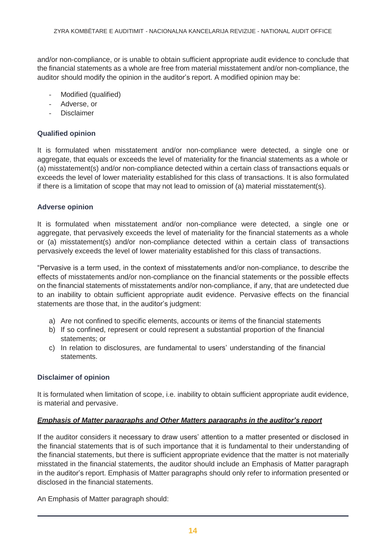and/or non-compliance, or is unable to obtain sufficient appropriate audit evidence to conclude that the financial statements as a whole are free from material misstatement and/or non-compliance, the auditor should modify the opinion in the auditor's report. A modified opinion may be:

- Modified (qualified)
- Adverse, or
- **Disclaimer**

#### **Qualified opinion**

It is formulated when misstatement and/or non-compliance were detected, a single one or aggregate, that equals or exceeds the level of materiality for the financial statements as a whole or (a) misstatement(s) and/or non-compliance detected within a certain class of transactions equals or exceeds the level of lower materiality established for this class of transactions. It is also formulated if there is a limitation of scope that may not lead to omission of (a) material misstatement(s).

#### **Adverse opinion**

It is formulated when misstatement and/or non-compliance were detected, a single one or aggregate, that pervasively exceeds the level of materiality for the financial statements as a whole or (a) misstatement(s) and/or non-compliance detected within a certain class of transactions pervasively exceeds the level of lower materiality established for this class of transactions.

"Pervasive is a term used, in the context of misstatements and/or non-compliance, to describe the effects of misstatements and/or non-compliance on the financial statements or the possible effects on the financial statements of misstatements and/or non-compliance, if any, that are undetected due to an inability to obtain sufficient appropriate audit evidence. Pervasive effects on the financial statements are those that, in the auditor's judgment:

- a) Are not confined to specific elements, accounts or items of the financial statements
- b) If so confined, represent or could represent a substantial proportion of the financial statements; or
- c) In relation to disclosures, are fundamental to users' understanding of the financial statements.

#### **Disclaimer of opinion**

It is formulated when limitation of scope, i.e. inability to obtain sufficient appropriate audit evidence, is material and pervasive.

#### *Emphasis of Matter paragraphs and Other Matters paragraphs in the auditor's report*

If the auditor considers it necessary to draw users' attention to a matter presented or disclosed in the financial statements that is of such importance that it is fundamental to their understanding of the financial statements, but there is sufficient appropriate evidence that the matter is not materially misstated in the financial statements, the auditor should include an Emphasis of Matter paragraph in the auditor's report. Emphasis of Matter paragraphs should only refer to information presented or disclosed in the financial statements.

An Emphasis of Matter paragraph should: